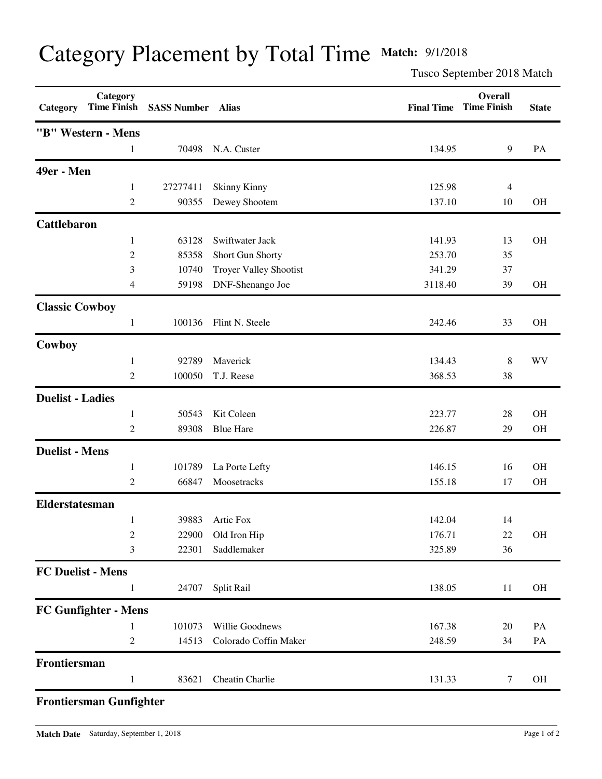## Category Placement by Total Time **Match:** 9/1/2018

Tusco September 2018 Match

| Category                 | Category<br><b>Time Finish</b> | <b>SASS Number</b> | <b>Alias</b>                  | <b>Final Time</b> | Overall<br><b>Time Finish</b> | <b>State</b> |
|--------------------------|--------------------------------|--------------------|-------------------------------|-------------------|-------------------------------|--------------|
|                          | "B" Western - Mens             |                    |                               |                   |                               |              |
|                          | 1                              | 70498              | N.A. Custer                   | 134.95            | 9                             | PA           |
| 49er - Men               |                                |                    |                               |                   |                               |              |
|                          | 1                              | 27277411           | <b>Skinny Kinny</b>           | 125.98            | 4                             |              |
|                          | $\overline{c}$                 | 90355              | Dewey Shootem                 | 137.10            | 10                            | <b>OH</b>    |
| Cattlebaron              |                                |                    |                               |                   |                               |              |
|                          | 1                              | 63128              | Swiftwater Jack               | 141.93            | 13                            | <b>OH</b>    |
|                          | $\overline{c}$                 | 85358              | Short Gun Shorty              | 253.70            | 35                            |              |
|                          | 3                              | 10740              | <b>Troyer Valley Shootist</b> | 341.29            | 37                            |              |
|                          | 4                              | 59198              | DNF-Shenango Joe              | 3118.40           | 39                            | <b>OH</b>    |
| <b>Classic Cowboy</b>    |                                |                    |                               |                   |                               |              |
|                          | $\mathbf{1}$                   | 100136             | Flint N. Steele               | 242.46            | 33                            | <b>OH</b>    |
| Cowboy                   |                                |                    |                               |                   |                               |              |
|                          | $\mathbf{1}$                   | 92789              | Maverick                      | 134.43            | 8                             | <b>WV</b>    |
|                          | $\overline{2}$                 | 100050             | T.J. Reese                    | 368.53            | 38                            |              |
| <b>Duelist - Ladies</b>  |                                |                    |                               |                   |                               |              |
|                          | $\mathbf{1}$                   | 50543              | Kit Coleen                    | 223.77            | 28                            | <b>OH</b>    |
|                          | $\overline{c}$                 | 89308              | <b>Blue Hare</b>              | 226.87            | 29                            | OH           |
| <b>Duelist - Mens</b>    |                                |                    |                               |                   |                               |              |
|                          | $\mathbf{1}$                   | 101789             | La Porte Lefty                | 146.15            | 16                            | <b>OH</b>    |
|                          | $\overline{c}$                 | 66847              | Moosetracks                   | 155.18            | 17                            | OH           |
| Elderstatesman           |                                |                    |                               |                   |                               |              |
|                          | 1                              | 39883              | Artic Fox                     | 142.04            | 14                            |              |
|                          | $\boldsymbol{2}$               | 22900              | Old Iron Hip                  | 176.71            | 22                            | OH           |
|                          | 3                              | 22301              | Saddlemaker                   | 325.89            | 36                            |              |
| <b>FC Duelist - Mens</b> |                                |                    |                               |                   |                               |              |
|                          | 1                              | 24707              | Split Rail                    | 138.05            | 11                            | OH           |
|                          | FC Gunfighter - Mens           |                    |                               |                   |                               |              |
|                          | 1                              | 101073             | Willie Goodnews               | 167.38            | 20                            | PA           |
|                          | $\overline{c}$                 | 14513              | Colorado Coffin Maker         | 248.59            | 34                            | PA           |
| Frontiersman             |                                |                    |                               |                   |                               |              |
|                          | 1                              | 83621              | Cheatin Charlie               | 131.33            | $\tau$                        | OH           |

## **Frontiersman Gunfighter**